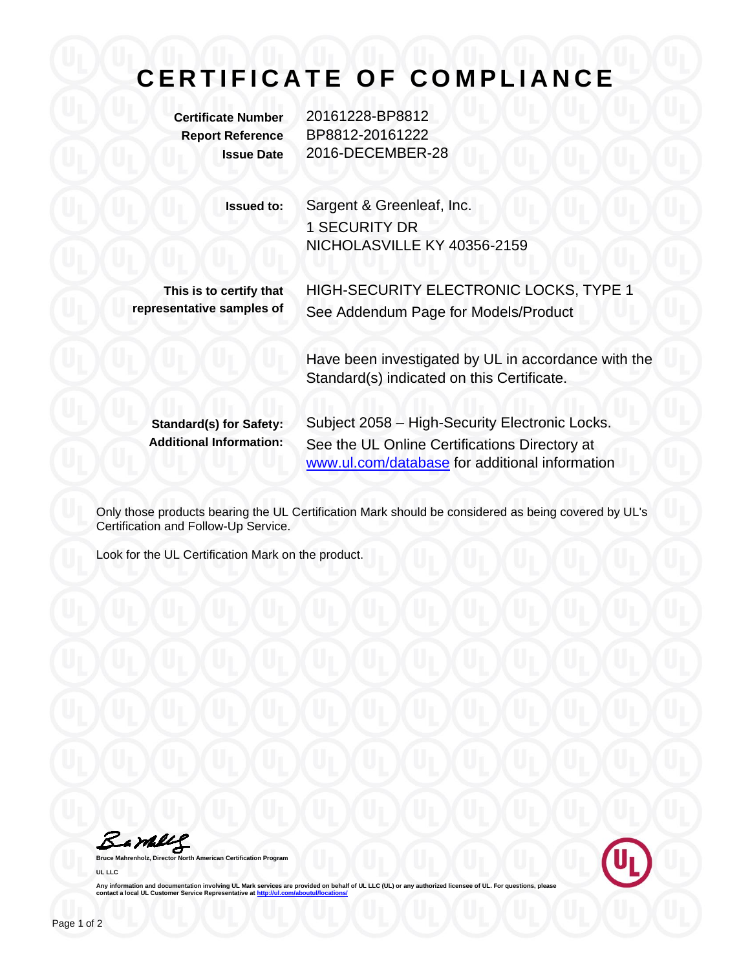## **CERTIFICATE OF COMPLIANCE**

**Certificate Number** 20161228-BP8812 **Report Reference** BP8812-20161222 **Issue Date** 2016-DECEMBER-28

| Issued to: | Sargent & Greenleaf, Inc.   |
|------------|-----------------------------|
|            | <b>1 SECURITY DR</b>        |
|            | NICHOLASVILLE KY 40356-2159 |

**This is to certify that representative samples of**

HIGH-SECURITY ELECTRONIC LOCKS, TYPE 1 See Addendum Page for Models/Product

Have been investigated by UL in accordance with the Standard(s) indicated on this Certificate.

Standard(s) for Safety: Subject 2058 - High-Security Electronic Locks. **Additional Information:** See the UL Online Certifications Directory at [www.ul.com/database](http://www.ul.com/database) for additional information

Only those products bearing the UL Certification Mark should be considered as being covered by UL's Certification and Follow-Up Service.

Look for the UL Certification Mark on the product.

Bambly

**American Certification Program UL LLC**



Any information and documentation involving UL Mark services are provided on behalf of UL LLC (UL) or any authorized licensee of UL. For questions, please<br>contact a local UL Customer Service Representative at <u>http://ul.co</u>